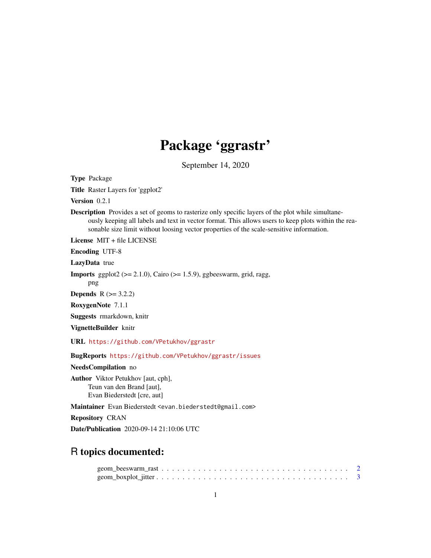## Package 'ggrastr'

September 14, 2020

<span id="page-0-0"></span>Type Package

Title Raster Layers for 'ggplot2'

Version 0.2.1

Description Provides a set of geoms to rasterize only specific layers of the plot while simultaneously keeping all labels and text in vector format. This allows users to keep plots within the reasonable size limit without loosing vector properties of the scale-sensitive information.

License MIT + file LICENSE

Encoding UTF-8

LazyData true

**Imports** ggplot2 ( $>= 2.1.0$ ), Cairo ( $>= 1.5.9$ ), ggbeeswarm, grid, ragg,

png

**Depends**  $R$  ( $> = 3.2.2$ )

RoxygenNote 7.1.1

Suggests rmarkdown, knitr

VignetteBuilder knitr

URL <https://github.com/VPetukhov/ggrastr>

BugReports <https://github.com/VPetukhov/ggrastr/issues>

NeedsCompilation no

Author Viktor Petukhov [aut, cph], Teun van den Brand [aut], Evan Biederstedt [cre, aut]

Maintainer Evan Biederstedt <evan.biederstedt@gmail.com>

Repository CRAN

Date/Publication 2020-09-14 21:10:06 UTC

## R topics documented: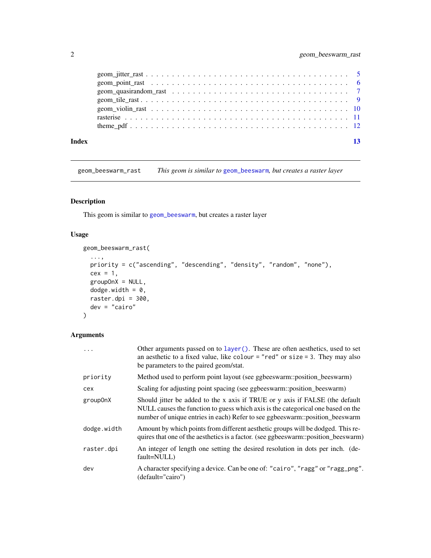<span id="page-1-0"></span>

| Index | 13 |
|-------|----|

geom\_beeswarm\_rast *This geom is similar to* [geom\\_beeswarm](#page-0-0)*, but creates a raster layer*

#### Description

This geom is similar to [geom\\_beeswarm](#page-0-0), but creates a raster layer

#### Usage

```
geom_beeswarm_rast(
 ...,
 priority = c("ascending", "descending", "density", "random", "none"),
 cex = 1,
 groupOnX = NULL,dodge.width = 0,
 raster.dpi = 300,
 dev = "cairo"
)
```
#### Arguments

| $\cdots$    | Other arguments passed on to layer (). These are often aesthetics, used to set<br>an aesthetic to a fixed value, like colour = "red" or size = 3. They may also<br>be parameters to the paired geom/stat.                                        |
|-------------|--------------------------------------------------------------------------------------------------------------------------------------------------------------------------------------------------------------------------------------------------|
| priority    | Method used to perform point layout (see ggbeeswarm::position_beeswarm)                                                                                                                                                                          |
| cex         | Scaling for adjusting point spacing (see ggbeeswarm::position_beeswarm)                                                                                                                                                                          |
| group0nX    | Should jitter be added to the x axis if TRUE or y axis if FALSE (the default<br>NULL causes the function to guess which axis is the categorical one based on the<br>number of unique entries in each) Refer to see ggbeeswarm::position_beeswarm |
| dodge.width | Amount by which points from different aesthetic groups will be dodged. This re-<br>quires that one of the aesthetics is a factor. (see ggbeeswarm::position_beeswarm)                                                                            |
| raster.dpi  | An integer of length one setting the desired resolution in dots per inch. (de-<br>fault=NULL)                                                                                                                                                    |
| dev         | A character specifying a device. Can be one of: "cairo", "ragg" or "ragg_png".<br>(default="cairo")                                                                                                                                              |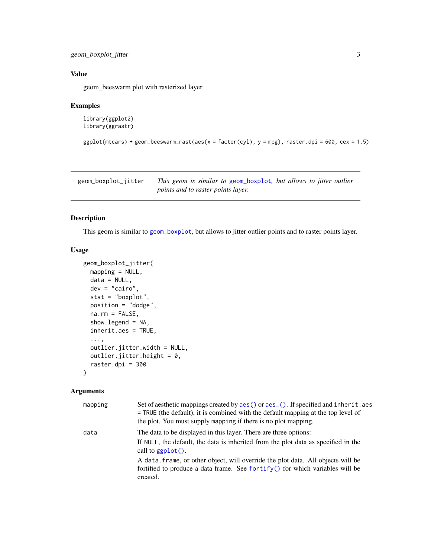```
geom_boxplot_jitter 3
```
#### Value

geom\_beeswarm plot with rasterized layer

#### Examples

```
library(ggplot2)
library(ggrastr)
```

```
ggplot(mtcars) + geom_beeswarm_rrast(aes(x = factor(cyl), y = mpg), raster.dpi = 600, cex = 1.5)
```
geom\_boxplot\_jitter *This geom is similar to* [geom\\_boxplot](#page-0-0)*, but allows to jitter outlier points and to raster points layer.*

#### Description

This geom is similar to [geom\\_boxplot](#page-0-0), but allows to jitter outlier points and to raster points layer.

#### Usage

```
geom_boxplot_jitter(
 mapping = NULL,
 data = NULL,
 dev = "cairo",
  stat = "boxplot",
  position = "dodge",
  na.rm = FALSE,
  show.legend = NA,
  inherit.aes = TRUE,
  ...,
 outlier.jitter.width = NULL,
 outlier.jitter.height = 0,
  raster.dpi = 300)
```
#### Arguments

| mapping | Set of aesthetic mappings created by aes () or aes (). If specified and inherit. aes<br>$=$ TRUE (the default), it is combined with the default mapping at the top level of<br>the plot. You must supply mapping if there is no plot mapping. |
|---------|-----------------------------------------------------------------------------------------------------------------------------------------------------------------------------------------------------------------------------------------------|
| data    | The data to be displayed in this layer. There are three options:<br>If NULL, the default, the data is inherited from the plot data as specified in the<br>call to $ggplot()$ .                                                                |
|         | A data. frame, or other object, will override the plot data. All objects will be<br>fortified to produce a data frame. See fortify() for which variables will be<br>created.                                                                  |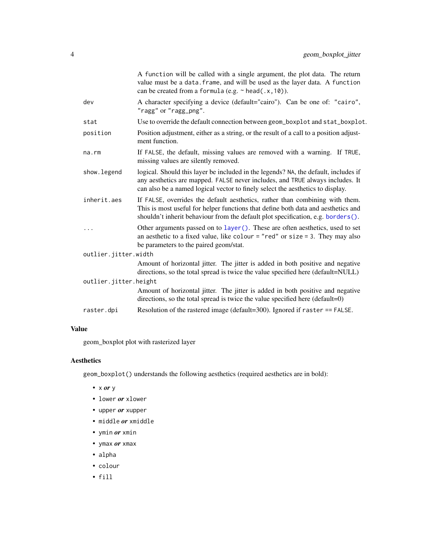<span id="page-3-0"></span>

| A character specifying a device (default="cairo"). Can be one of: "cairo",<br>dev<br>"ragg" or "ragg_png".<br>Use to override the default connection between geom_boxplot and stat_boxplot.<br>stat<br>Position adjustment, either as a string, or the result of a call to a position adjust-<br>position<br>ment function.<br>If FALSE, the default, missing values are removed with a warning. If TRUE,<br>na.rm<br>missing values are silently removed.<br>logical. Should this layer be included in the legends? NA, the default, includes if<br>show.legend<br>any aesthetics are mapped. FALSE never includes, and TRUE always includes. It<br>can also be a named logical vector to finely select the aesthetics to display.<br>inherit.aes<br>If FALSE, overrides the default aesthetics, rather than combining with them.<br>This is most useful for helper functions that define both data and aesthetics and<br>shouldn't inherit behaviour from the default plot specification, e.g. borders().<br>Other arguments passed on to layer (). These are often aesthetics, used to set<br>.<br>an aesthetic to a fixed value, like colour = "red" or size = 3. They may also<br>be parameters to the paired geom/stat.<br>outlier.jitter.width<br>Amount of horizontal jitter. The jitter is added in both positive and negative<br>directions, so the total spread is twice the value specified here (default=NULL)<br>outlier.jitter.height<br>Amount of horizontal jitter. The jitter is added in both positive and negative<br>directions, so the total spread is twice the value specified here (default=0)<br>Resolution of the rastered image (default= $300$ ). Ignored if raster == FALSE.<br>raster.dpi |  | A function will be called with a single argument, the plot data. The return<br>value must be a data. frame, and will be used as the layer data. A function<br>can be created from a formula (e.g. $\sim$ head(.x, 10)). |
|--------------------------------------------------------------------------------------------------------------------------------------------------------------------------------------------------------------------------------------------------------------------------------------------------------------------------------------------------------------------------------------------------------------------------------------------------------------------------------------------------------------------------------------------------------------------------------------------------------------------------------------------------------------------------------------------------------------------------------------------------------------------------------------------------------------------------------------------------------------------------------------------------------------------------------------------------------------------------------------------------------------------------------------------------------------------------------------------------------------------------------------------------------------------------------------------------------------------------------------------------------------------------------------------------------------------------------------------------------------------------------------------------------------------------------------------------------------------------------------------------------------------------------------------------------------------------------------------------------------------------------------------------------------------------------------------------------------------------|--|-------------------------------------------------------------------------------------------------------------------------------------------------------------------------------------------------------------------------|
|                                                                                                                                                                                                                                                                                                                                                                                                                                                                                                                                                                                                                                                                                                                                                                                                                                                                                                                                                                                                                                                                                                                                                                                                                                                                                                                                                                                                                                                                                                                                                                                                                                                                                                                          |  |                                                                                                                                                                                                                         |
|                                                                                                                                                                                                                                                                                                                                                                                                                                                                                                                                                                                                                                                                                                                                                                                                                                                                                                                                                                                                                                                                                                                                                                                                                                                                                                                                                                                                                                                                                                                                                                                                                                                                                                                          |  |                                                                                                                                                                                                                         |
|                                                                                                                                                                                                                                                                                                                                                                                                                                                                                                                                                                                                                                                                                                                                                                                                                                                                                                                                                                                                                                                                                                                                                                                                                                                                                                                                                                                                                                                                                                                                                                                                                                                                                                                          |  |                                                                                                                                                                                                                         |
|                                                                                                                                                                                                                                                                                                                                                                                                                                                                                                                                                                                                                                                                                                                                                                                                                                                                                                                                                                                                                                                                                                                                                                                                                                                                                                                                                                                                                                                                                                                                                                                                                                                                                                                          |  |                                                                                                                                                                                                                         |
|                                                                                                                                                                                                                                                                                                                                                                                                                                                                                                                                                                                                                                                                                                                                                                                                                                                                                                                                                                                                                                                                                                                                                                                                                                                                                                                                                                                                                                                                                                                                                                                                                                                                                                                          |  |                                                                                                                                                                                                                         |
|                                                                                                                                                                                                                                                                                                                                                                                                                                                                                                                                                                                                                                                                                                                                                                                                                                                                                                                                                                                                                                                                                                                                                                                                                                                                                                                                                                                                                                                                                                                                                                                                                                                                                                                          |  |                                                                                                                                                                                                                         |
|                                                                                                                                                                                                                                                                                                                                                                                                                                                                                                                                                                                                                                                                                                                                                                                                                                                                                                                                                                                                                                                                                                                                                                                                                                                                                                                                                                                                                                                                                                                                                                                                                                                                                                                          |  |                                                                                                                                                                                                                         |
|                                                                                                                                                                                                                                                                                                                                                                                                                                                                                                                                                                                                                                                                                                                                                                                                                                                                                                                                                                                                                                                                                                                                                                                                                                                                                                                                                                                                                                                                                                                                                                                                                                                                                                                          |  |                                                                                                                                                                                                                         |
|                                                                                                                                                                                                                                                                                                                                                                                                                                                                                                                                                                                                                                                                                                                                                                                                                                                                                                                                                                                                                                                                                                                                                                                                                                                                                                                                                                                                                                                                                                                                                                                                                                                                                                                          |  |                                                                                                                                                                                                                         |
|                                                                                                                                                                                                                                                                                                                                                                                                                                                                                                                                                                                                                                                                                                                                                                                                                                                                                                                                                                                                                                                                                                                                                                                                                                                                                                                                                                                                                                                                                                                                                                                                                                                                                                                          |  |                                                                                                                                                                                                                         |
|                                                                                                                                                                                                                                                                                                                                                                                                                                                                                                                                                                                                                                                                                                                                                                                                                                                                                                                                                                                                                                                                                                                                                                                                                                                                                                                                                                                                                                                                                                                                                                                                                                                                                                                          |  |                                                                                                                                                                                                                         |
|                                                                                                                                                                                                                                                                                                                                                                                                                                                                                                                                                                                                                                                                                                                                                                                                                                                                                                                                                                                                                                                                                                                                                                                                                                                                                                                                                                                                                                                                                                                                                                                                                                                                                                                          |  |                                                                                                                                                                                                                         |

#### Value

geom\_boxplot plot with rasterized layer

## Aesthetics

geom\_boxplot() understands the following aesthetics (required aesthetics are in bold):

- x *or* y
- lower *or* xlower
- upper *or* xupper
- middle *or* xmiddle
- ymin *or* xmin
- ymax *or* xmax
- alpha
- colour
- fill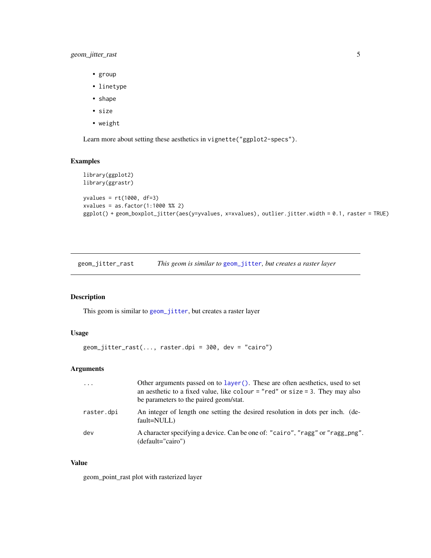#### <span id="page-4-0"></span>geom\_jitter\_rast 5

- group
- linetype
- shape
- size
- weight

Learn more about setting these aesthetics in vignette("ggplot2-specs").

#### Examples

```
library(ggplot2)
library(ggrastr)
yvalues = rt(1000, df=3)xvalues = as.factor(1:1000 %% 2)
ggplot() + geom_boxplot_jitter(aes(y=yvalues, x=xvalues), outlier.jitter.width = 0.1, raster = TRUE)
```
geom\_jitter\_rast *This geom is similar to* [geom\\_jitter](#page-0-0)*, but creates a raster layer*

#### Description

This geom is similar to [geom\\_jitter](#page-0-0), but creates a raster layer

#### Usage

```
geom_jitter_rast(..., raster.dpi = 300, dev = "cairo")
```
#### Arguments

| $\cdot \cdot \cdot$ | Other arguments passed on to layer (). These are often aesthetics, used to set<br>an aesthetic to a fixed value, like colour = "red" or size = 3. They may also<br>be parameters to the paired geom/stat. |
|---------------------|-----------------------------------------------------------------------------------------------------------------------------------------------------------------------------------------------------------|
| raster.dpi          | An integer of length one setting the desired resolution in dots per inch. (de-<br>fault=NULL)                                                                                                             |
| dev                 | A character specifying a device. Can be one of: "cairo", "ragg" or "ragg_png".<br>$(default="cairo")$                                                                                                     |

#### Value

geom\_point\_rast plot with rasterized layer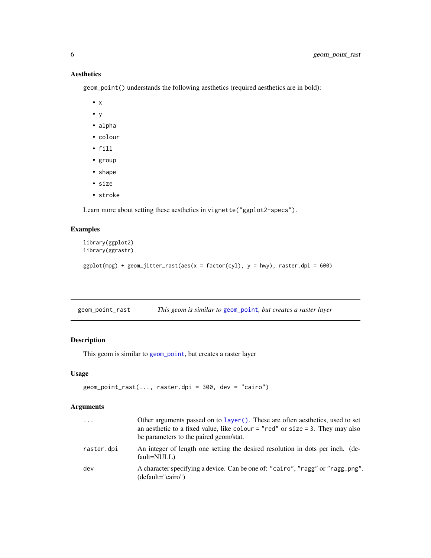#### Aesthetics

geom\_point() understands the following aesthetics (required aesthetics are in bold):

- x
- y
- alpha
- colour
- fill
- group
- shape
- size
- stroke

Learn more about setting these aesthetics in vignette("ggplot2-specs").

## Examples

```
library(ggplot2)
library(ggrastr)
ggplot(mpg) + geom_Jitter\_rast(aes(x = factor(cyl), y = hwy), raster.dpi = 600)
```

| geom_point_rast |  | This geom is similar to geom_point, but creates a raster layer |  |
|-----------------|--|----------------------------------------------------------------|--|
|                 |  |                                                                |  |

#### Description

This geom is similar to [geom\\_point](#page-0-0), but creates a raster layer

#### Usage

```
geom_point_rast(..., raster.dpi = 300, dev = "cairo")
```
## Arguments

| $\cdots$   | Other arguments passed on to layer (). These are often aesthetics, used to set<br>an aesthetic to a fixed value, like colour = "red" or size = 3. They may also<br>be parameters to the paired geom/stat. |
|------------|-----------------------------------------------------------------------------------------------------------------------------------------------------------------------------------------------------------|
| raster.dpi | An integer of length one setting the desired resolution in dots per inch. (de-<br>fault=NULL)                                                                                                             |
| dev        | A character specifying a device. Can be one of: "cairo", "ragg" or "ragg_png".<br>(default="cairo")                                                                                                       |

<span id="page-5-0"></span>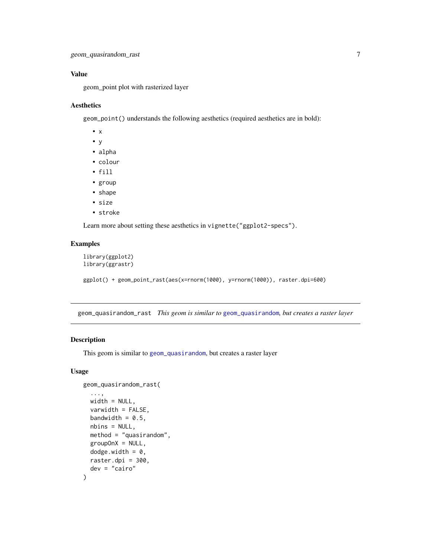#### <span id="page-6-0"></span>Value

geom\_point plot with rasterized layer

#### Aesthetics

geom\_point() understands the following aesthetics (required aesthetics are in bold):

- x
- y
- alpha
- colour
- fill
- group
- shape
- size
- stroke

Learn more about setting these aesthetics in vignette("ggplot2-specs").

#### Examples

```
library(ggplot2)
library(ggrastr)
ggplot() + geom_point_rast(aes(x=rnorm(1000), y=rnorm(1000)), raster.dpi=600)
```
geom\_quasirandom\_rast *This geom is similar to* [geom\\_quasirandom](#page-0-0)*, but creates a raster layer*

#### Description

This geom is similar to [geom\\_quasirandom](#page-0-0), but creates a raster layer

#### Usage

```
geom_quasirandom_rast(
  ...,
 width = NULL,
  varwidth = FALSE,
  bandwidth = 0.5,
  nbins = NULL,
 method = "quasirandom",
  groupOnX = NULL,dodge.width = 0,
 raster.dpi = 300,
  dev = "cairo"
)
```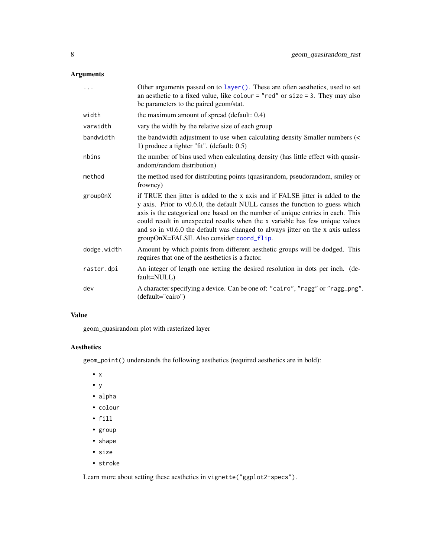#### <span id="page-7-0"></span>Arguments

|             | Other arguments passed on to layer (). These are often aesthetics, used to set<br>an aesthetic to a fixed value, like colour = "red" or size = 3. They may also<br>be parameters to the paired geom/stat.                                                                                                                                                                                                                                                        |
|-------------|------------------------------------------------------------------------------------------------------------------------------------------------------------------------------------------------------------------------------------------------------------------------------------------------------------------------------------------------------------------------------------------------------------------------------------------------------------------|
| width       | the maximum amount of spread (default: 0.4)                                                                                                                                                                                                                                                                                                                                                                                                                      |
| varwidth    | vary the width by the relative size of each group                                                                                                                                                                                                                                                                                                                                                                                                                |
| bandwidth   | the bandwidth adjustment to use when calculating density Smaller numbers (<<br>1) produce a tighter "fit". (default: 0.5)                                                                                                                                                                                                                                                                                                                                        |
| nbins       | the number of bins used when calculating density (has little effect with quasir-<br>andom/random distribution)                                                                                                                                                                                                                                                                                                                                                   |
| method      | the method used for distributing points (quasirandom, pseudorandom, smiley or<br>frowney)                                                                                                                                                                                                                                                                                                                                                                        |
| group0nX    | if TRUE then jitter is added to the x axis and if FALSE jitter is added to the<br>y axis. Prior to v0.6.0, the default NULL causes the function to guess which<br>axis is the categorical one based on the number of unique entries in each. This<br>could result in unexpected results when the x variable has few unique values<br>and so in v0.6.0 the default was changed to always jitter on the x axis unless<br>groupOnX=FALSE. Also consider coord_flip. |
| dodge.width | Amount by which points from different aesthetic groups will be dodged. This<br>requires that one of the aesthetics is a factor.                                                                                                                                                                                                                                                                                                                                  |
| raster.dpi  | An integer of length one setting the desired resolution in dots per inch. (de-<br>fault=NULL)                                                                                                                                                                                                                                                                                                                                                                    |
| dev         | A character specifying a device. Can be one of: "cairo", "ragg" or "ragg_png".<br>(default="cairo")                                                                                                                                                                                                                                                                                                                                                              |

#### Value

geom\_quasirandom plot with rasterized layer

#### Aesthetics

geom\_point() understands the following aesthetics (required aesthetics are in bold):

- x
- y
- alpha
- colour
- fill
- group
- shape
- size
- stroke

Learn more about setting these aesthetics in vignette("ggplot2-specs").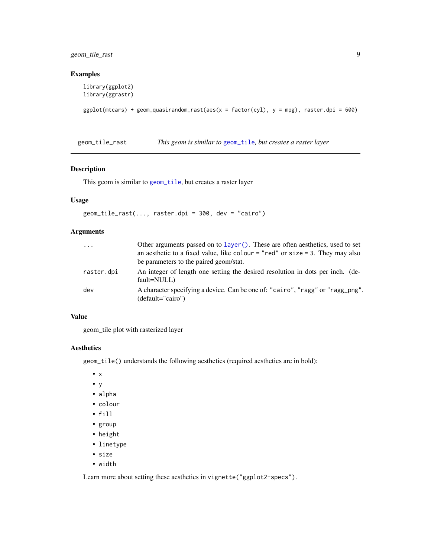<span id="page-8-0"></span>geom\_tile\_rast 9

#### Examples

```
library(ggplot2)
library(ggrastr)
```

```
ggplot(mtcars) + geom_quasirandom_rast(aes(x = factor(cyl), y = mpg), raster.dpi = 600)
```
geom\_tile\_rast *This geom is similar to* [geom\\_tile](#page-0-0)*, but creates a raster layer*

#### Description

This geom is similar to [geom\\_tile](#page-0-0), but creates a raster layer

#### Usage

```
geom\_tile\_rast(..., raster.dpi = 300, dev = "cairo")
```
#### Arguments

| $\cdots$   | Other arguments passed on to layer (). These are often aesthetics, used to set<br>an aesthetic to a fixed value, like colour = "red" or size = 3. They may also<br>be parameters to the paired geom/stat. |
|------------|-----------------------------------------------------------------------------------------------------------------------------------------------------------------------------------------------------------|
| raster.dpi | An integer of length one setting the desired resolution in dots per inch. (de-<br>fault=NULL)                                                                                                             |
| dev        | A character specifying a device. Can be one of: "cairo", "ragg" or "ragg_png".<br>$(detault="cairo")$                                                                                                     |

#### Value

geom\_tile plot with rasterized layer

#### Aesthetics

geom\_tile() understands the following aesthetics (required aesthetics are in bold):

- x
- y
- alpha
- colour
- fill
- group
- height
- linetype
- size
- width

Learn more about setting these aesthetics in vignette("ggplot2-specs").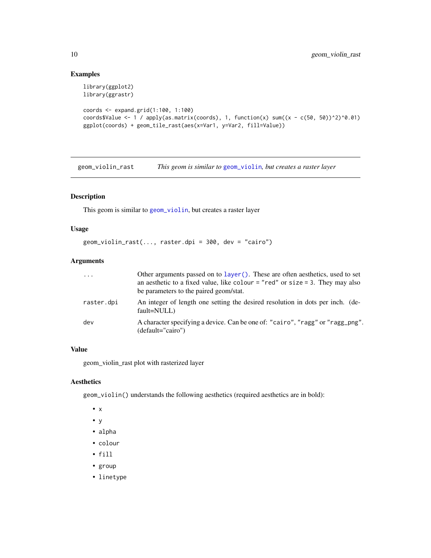#### Examples

```
library(ggplot2)
library(ggrastr)
coords <- expand.grid(1:100, 1:100)
coords$Value <- 1 / apply(as.matrix(coords), 1, function(x) sum((x - c(50, 50))^2)^0.01)
ggplot(coords) + geom_tile_rast(aes(x=Var1, y=Var2, fill=Value))
```
geom\_violin\_rast *This geom is similar to* [geom\\_violin](#page-0-0)*, but creates a raster layer*

#### Description

This geom is similar to [geom\\_violin](#page-0-0), but creates a raster layer

#### Usage

```
geom_violin_rast(..., raster.dpi = 300, dev = "cairo")
```
#### Arguments

| $\cdots$   | Other arguments passed on to layer (). These are often aesthetics, used to set<br>an aesthetic to a fixed value, like colour = "red" or size = 3. They may also<br>be parameters to the paired geom/stat. |
|------------|-----------------------------------------------------------------------------------------------------------------------------------------------------------------------------------------------------------|
| raster.dpi | An integer of length one setting the desired resolution in dots per inch. (de-<br>fault=NULL)                                                                                                             |
| dev        | A character specifying a device. Can be one of: "cairo", "ragg" or "ragg_png".<br>$(detault="cairo")$                                                                                                     |

#### Value

geom\_violin\_rast plot with rasterized layer

#### Aesthetics

geom\_violin() understands the following aesthetics (required aesthetics are in bold):

- x
- y
- alpha
- colour
- fill
- group
- linetype

<span id="page-9-0"></span>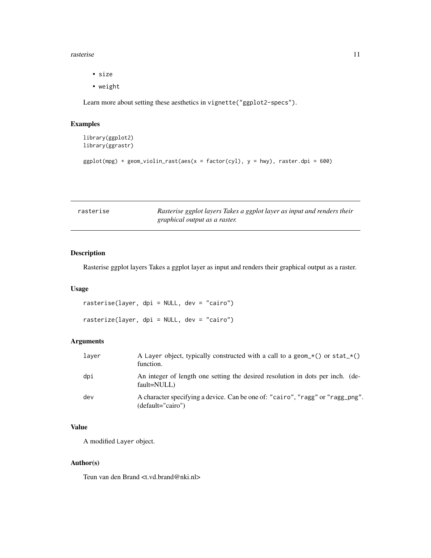#### <span id="page-10-0"></span>rasterise the contract of the contract of the contract of the contract of the contract of the contract of the contract of the contract of the contract of the contract of the contract of the contract of the contract of the

- size
- weight

Learn more about setting these aesthetics in vignette("ggplot2-specs").

## Examples

```
library(ggplot2)
library(ggrastr)
ggplot(mpg) + geom\_violin\_rast(aes(x = factor(cyl), y = hwy), raster.dpi = 600)
```

| rasterise | Rasterise ggplot layers Takes a ggplot layer as input and renders their |
|-----------|-------------------------------------------------------------------------|
|           | graphical output as a raster.                                           |

#### Description

Rasterise ggplot layers Takes a ggplot layer as input and renders their graphical output as a raster.

#### Usage

rasterise(layer, dpi = NULL, dev = "cairo") rasterize(layer, dpi = NULL, dev = "cairo")

#### Arguments

| laver | A Layer object, typically constructed with a call to a geom $\star$ () or stat $\star$ ()<br>function. |
|-------|--------------------------------------------------------------------------------------------------------|
| dpi   | An integer of length one setting the desired resolution in dots per inch. (de-<br>fault=NULL)          |
| dev   | A character specifying a device. Can be one of: "cairo", "ragg" or "ragg_png".<br>$(detault="cairo")$  |

#### Value

A modified Layer object.

#### Author(s)

Teun van den Brand <t.vd.brand@nki.nl>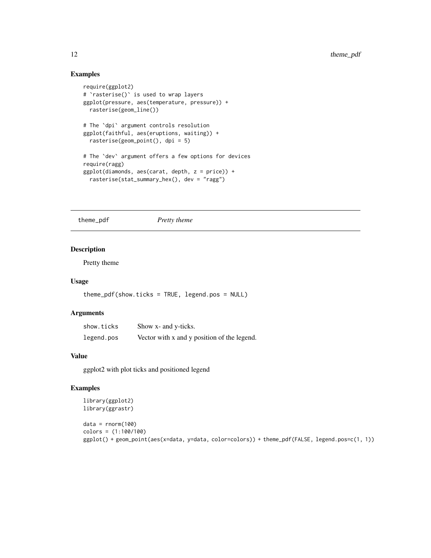#### Examples

```
require(ggplot2)
# `rasterise()` is used to wrap layers
ggplot(pressure, aes(temperature, pressure)) +
  rasterise(geom_line())
# The `dpi` argument controls resolution
ggplot(faithful, aes(eruptions, waiting)) +
  rasterise(geom_point(), dpi = 5)
# The `dev` argument offers a few options for devices
require(ragg)
ggplot(diamonds, aes(carat, depth, z = price)) +
  rasterise(stat_summary_hex(), dev = "ragg")
```
theme\_pdf *Pretty theme*

#### Description

Pretty theme

#### Usage

```
theme_pdf(show.ticks = TRUE, legend.pos = NULL)
```
#### Arguments

| show.ticks | Show x- and y-ticks.                        |
|------------|---------------------------------------------|
| legend.pos | Vector with x and y position of the legend. |

#### Value

ggplot2 with plot ticks and positioned legend

#### Examples

```
library(ggplot2)
library(ggrastr)
```

```
data = rnorm(100)colors = (1:100/100)
ggplot() + geom_point(aes(x=data, y=data, color=colors)) + theme_pdf(FALSE, legend.pos=c(1, 1))
```
<span id="page-11-0"></span>